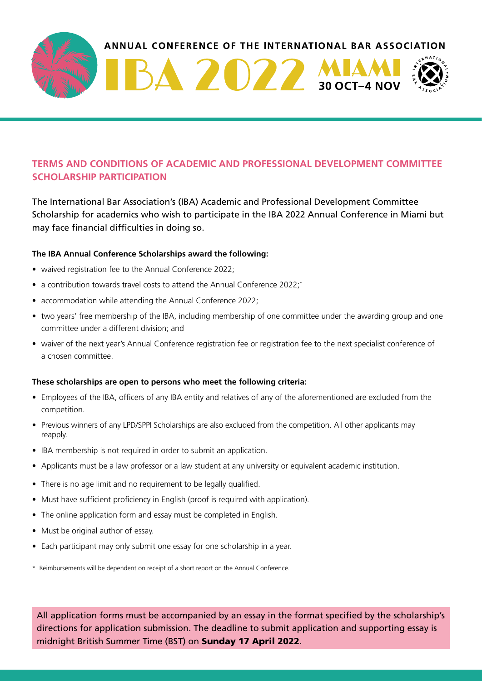

## **TERMS AND CONDITIONS OF ACADEMIC AND PROFESSIONAL DEVELOPMENT COMMITTEE SCHOLARSHIP PARTICIPATION**

The International Bar Association's (IBA) Academic and Professional Development Committee Scholarship for academics who wish to participate in the IBA 2022 Annual Conference in Miami but may face financial difficulties in doing so.

## **The IBA Annual Conference Scholarships award the following:**

- waived registration fee to the Annual Conference 2022;
- a contribution towards travel costs to attend the Annual Conference 2022;<sup>\*</sup>
- accommodation while attending the Annual Conference 2022;
- two years' free membership of the IBA, including membership of one committee under the awarding group and one committee under a different division; and
- waiver of the next year's Annual Conference registration fee or registration fee to the next specialist conference of a chosen committee.

## **These scholarships are open to persons who meet the following criteria:**

- Employees of the IBA, officers of any IBA entity and relatives of any of the aforementioned are excluded from the competition.
- Previous winners of any LPD/SPPI Scholarships are also excluded from the competition. All other applicants may reapply.
- IBA membership is not required in order to submit an application.
- Applicants must be a law professor or a law student at any university or equivalent academic institution.
- There is no age limit and no requirement to be legally qualified.
- Must have sufficient proficiency in English (proof is required with application).
- The online application form and essay must be completed in English.
- Must be original author of essay.
- Each participant may only submit one essay for one scholarship in a year.

\* Reimbursements will be dependent on receipt of a short report on the Annual Conference.

All application forms must be accompanied by an essay in the format specified by the scholarship's directions for application submission. The deadline to submit application and supporting essay is midnight British Summer Time (BST) on Sunday 17 April 2022.